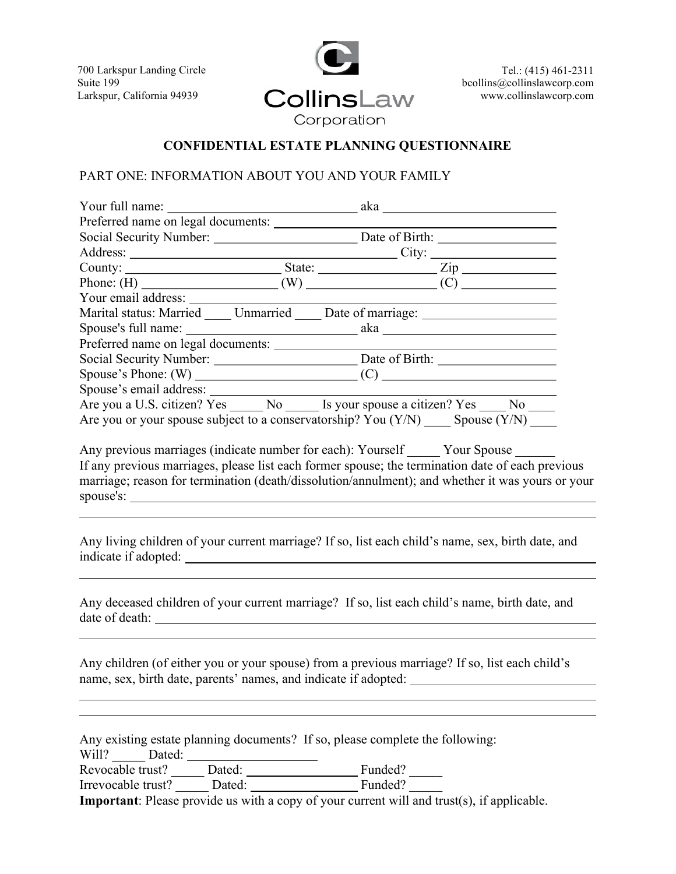700 Larkspur Landing Circle Suite 199 Larkspur, California 94939

l



Tel.: (415) 461-2311 bcollins@collinslawcorp.com www.collinslawcorp.com

# CONFIDENTIAL ESTATE PLANNING QUESTIONNAIRE

#### PART ONE: INFORMATION ABOUT YOU AND YOUR FAMILY

| Your full name:                    | aka                                                                             |
|------------------------------------|---------------------------------------------------------------------------------|
| Preferred name on legal documents: |                                                                                 |
| Social Security Number:            |                                                                                 |
|                                    |                                                                                 |
|                                    |                                                                                 |
|                                    |                                                                                 |
| Your email address:                |                                                                                 |
|                                    | Marital status: Married Unmarried Date of marriage:                             |
|                                    |                                                                                 |
| Preferred name on legal documents: |                                                                                 |
|                                    |                                                                                 |
|                                    |                                                                                 |
|                                    |                                                                                 |
|                                    | Are you a U.S. citizen? Yes No Is your spouse a citizen? Yes No                 |
|                                    | Are you or your spouse subject to a conservatorship? You $(Y/N)$ Spouse $(Y/N)$ |

Any previous marriages (indicate number for each): Yourself \_\_\_\_\_ Your Spouse \_\_\_\_\_ If any previous marriages, please list each former spouse; the termination date of each previous marriage; reason for termination (death/dissolution/annulment); and whether it was yours or your spouse's: <u>spouse</u>'s:

Any living children of your current marriage? If so, list each child's name, sex, birth date, and indicate if adopted:

Any deceased children of your current marriage? If so, list each child's name, birth date, and date of death:

Any children (of either you or your spouse) from a previous marriage? If so, list each child's name, sex, birth date, parents' names, and indicate if adopted:

|                    |        | Any existing estate planning documents? If so, please complete the following:              |
|--------------------|--------|--------------------------------------------------------------------------------------------|
| Will?<br>Dated:    |        |                                                                                            |
| Revocable trust?   | Dated: | Funded?                                                                                    |
| Irrevocable trust? | Dated: | Funded?                                                                                    |
|                    |        | Important: $D_{0.000}$ provide us with a copy of your qurport will and trust(a) if applies |

Important: Please provide us with a copy of your current will and trust(s), if applicable.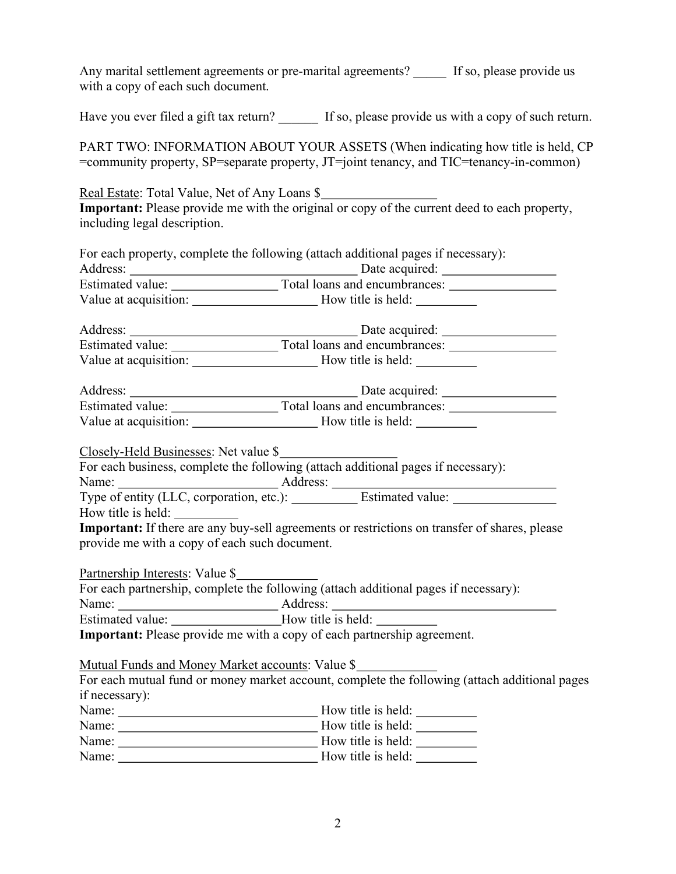Any marital settlement agreements or pre-marital agreements? If so, please provide us with a copy of each such document.

Have you ever filed a gift tax return? If so, please provide us with a copy of such return.

PART TWO: INFORMATION ABOUT YOUR ASSETS (When indicating how title is held, CP =community property, SP=separate property, JT=joint tenancy, and TIC=tenancy-in-common)

Real Estate: Total Value, Net of Any Loans \$ Important: Please provide me with the original or copy of the current deed to each property, including legal description.

|                                                                                  | For each property, complete the following (attach additional pages if necessary):             |
|----------------------------------------------------------------------------------|-----------------------------------------------------------------------------------------------|
|                                                                                  |                                                                                               |
|                                                                                  |                                                                                               |
|                                                                                  |                                                                                               |
|                                                                                  |                                                                                               |
|                                                                                  |                                                                                               |
|                                                                                  |                                                                                               |
|                                                                                  |                                                                                               |
|                                                                                  | Estimated value: Total loans and encumbrances:                                                |
|                                                                                  |                                                                                               |
| Closely-Held Businesses: Net value \$                                            |                                                                                               |
|                                                                                  | For each business, complete the following (attach additional pages if necessary):             |
|                                                                                  |                                                                                               |
|                                                                                  |                                                                                               |
|                                                                                  |                                                                                               |
| provide me with a copy of each such document.                                    | Important: If there are any buy-sell agreements or restrictions on transfer of shares, please |
| Partnership Interests: Value \$                                                  |                                                                                               |
|                                                                                  | For each partnership, complete the following (attach additional pages if necessary):          |
|                                                                                  |                                                                                               |
| Estimated value: ________________________How title is held: ____________________ |                                                                                               |
|                                                                                  | <b>Important:</b> Please provide me with a copy of each partnership agreement.                |
| Mutual Funds and Money Market accounts: Value \$                                 |                                                                                               |
|                                                                                  | For each mutual fund or money market account, complete the following (attach additional pages |
| if necessary):                                                                   |                                                                                               |
|                                                                                  |                                                                                               |
|                                                                                  |                                                                                               |
|                                                                                  |                                                                                               |
| Name:                                                                            | How title is held:                                                                            |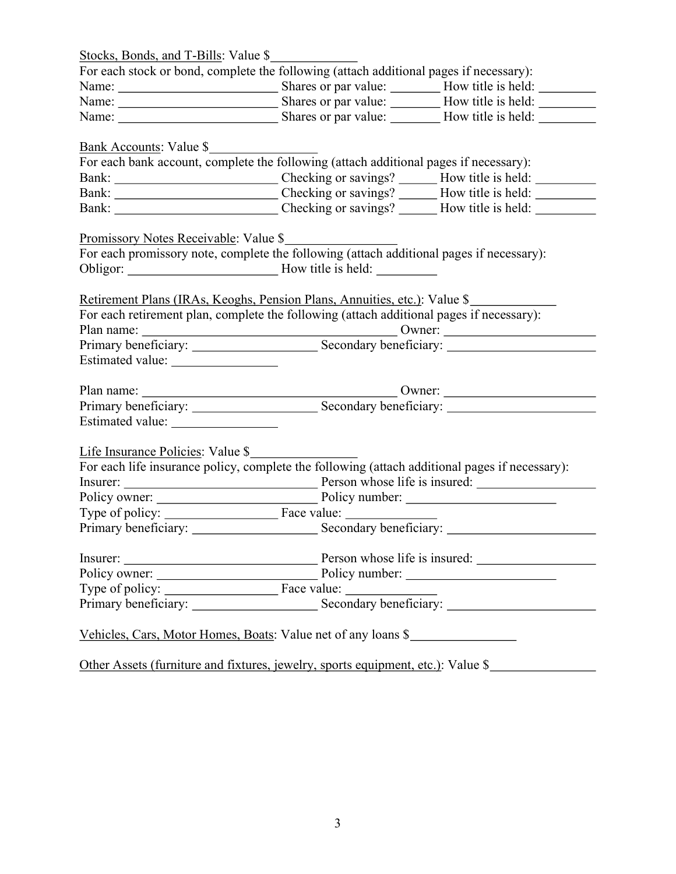| Stocks, Bonds, and T-Bills: Value \$                                                                                                                                                                                             |                                                                                                   |  |
|----------------------------------------------------------------------------------------------------------------------------------------------------------------------------------------------------------------------------------|---------------------------------------------------------------------------------------------------|--|
|                                                                                                                                                                                                                                  | For each stock or bond, complete the following (attach additional pages if necessary):            |  |
|                                                                                                                                                                                                                                  |                                                                                                   |  |
|                                                                                                                                                                                                                                  |                                                                                                   |  |
|                                                                                                                                                                                                                                  |                                                                                                   |  |
| <u>Bank Accounts</u> : Value \$                                                                                                                                                                                                  |                                                                                                   |  |
|                                                                                                                                                                                                                                  | For each bank account, complete the following (attach additional pages if necessary):             |  |
|                                                                                                                                                                                                                                  |                                                                                                   |  |
|                                                                                                                                                                                                                                  |                                                                                                   |  |
|                                                                                                                                                                                                                                  |                                                                                                   |  |
| <u>Promissory Notes Receivable:</u> Value \$                                                                                                                                                                                     |                                                                                                   |  |
|                                                                                                                                                                                                                                  | For each promissory note, complete the following (attach additional pages if necessary):          |  |
|                                                                                                                                                                                                                                  |                                                                                                   |  |
|                                                                                                                                                                                                                                  |                                                                                                   |  |
|                                                                                                                                                                                                                                  | Retirement Plans (IRAs, Keoghs, Pension Plans, Annuities, etc.): Value \$                         |  |
|                                                                                                                                                                                                                                  | For each retirement plan, complete the following (attach additional pages if necessary):          |  |
|                                                                                                                                                                                                                                  |                                                                                                   |  |
|                                                                                                                                                                                                                                  |                                                                                                   |  |
|                                                                                                                                                                                                                                  |                                                                                                   |  |
|                                                                                                                                                                                                                                  |                                                                                                   |  |
|                                                                                                                                                                                                                                  |                                                                                                   |  |
|                                                                                                                                                                                                                                  |                                                                                                   |  |
| Life Insurance Policies: Value \$                                                                                                                                                                                                |                                                                                                   |  |
|                                                                                                                                                                                                                                  | For each life insurance policy, complete the following (attach additional pages if necessary):    |  |
|                                                                                                                                                                                                                                  |                                                                                                   |  |
|                                                                                                                                                                                                                                  |                                                                                                   |  |
|                                                                                                                                                                                                                                  | Type of policy: Face value:                                                                       |  |
|                                                                                                                                                                                                                                  |                                                                                                   |  |
|                                                                                                                                                                                                                                  |                                                                                                   |  |
|                                                                                                                                                                                                                                  |                                                                                                   |  |
|                                                                                                                                                                                                                                  |                                                                                                   |  |
|                                                                                                                                                                                                                                  | Type of policy: <u>Face value:</u> Face value: <u>Secondary beneficiary: Primary beneficiary:</u> |  |
|                                                                                                                                                                                                                                  | Vehicles, Cars, Motor Homes, Boats: Value net of any loans \$                                     |  |
|                                                                                                                                                                                                                                  |                                                                                                   |  |
| المناسبة المناسبة المناسبة المناسبة المناسبة المناسبة المناسبة المناسبة المناسبة المناسبة المناسبة المناسبة ال<br>والمناسبة المناسبة المناسبة المناسبة المناسبة المناسبة المناسبة المناسبة المناسبة المناسبة المناسبة المناسبة ا |                                                                                                   |  |

Other Assets (furniture and fixtures, jewelry, sports equipment, etc.): Value \$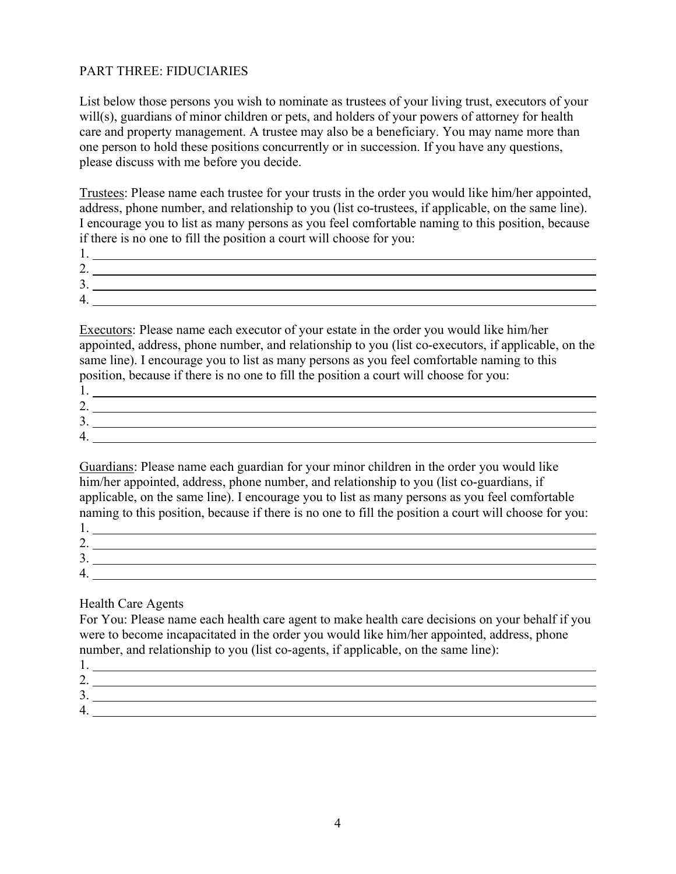### PART THREE: FIDUCIARIES

List below those persons you wish to nominate as trustees of your living trust, executors of your will(s), guardians of minor children or pets, and holders of your powers of attorney for health care and property management. A trustee may also be a beneficiary. You may name more than one person to hold these positions concurrently or in succession. If you have any questions, please discuss with me before you decide.

Trustees: Please name each trustee for your trusts in the order you would like him/her appointed, address, phone number, and relationship to you (list co-trustees, if applicable, on the same line). I encourage you to list as many persons as you feel comfortable naming to this position, because if there is no one to fill the position a court will choose for you:

| <u>.</u> |  |
|----------|--|
| ، پ      |  |
|          |  |

Executors: Please name each executor of your estate in the order you would like him/her appointed, address, phone number, and relationship to you (list co-executors, if applicable, on the same line). I encourage you to list as many persons as you feel comfortable naming to this position, because if there is no one to fill the position a court will choose for you:

| <u>.</u> |  |
|----------|--|
| . ب      |  |
|          |  |

Guardians: Please name each guardian for your minor children in the order you would like him/her appointed, address, phone number, and relationship to you (list co-guardians, if applicable, on the same line). I encourage you to list as many persons as you feel comfortable naming to this position, because if there is no one to fill the position a court will choose for you:

| <u>.</u> |  |
|----------|--|
| . ب      |  |
|          |  |

#### Health Care Agents

For You: Please name each health care agent to make health care decisions on your behalf if you were to become incapacitated in the order you would like him/her appointed, address, phone number, and relationship to you (list co-agents, if applicable, on the same line):

| . پ |  |
|-----|--|
|     |  |
|     |  |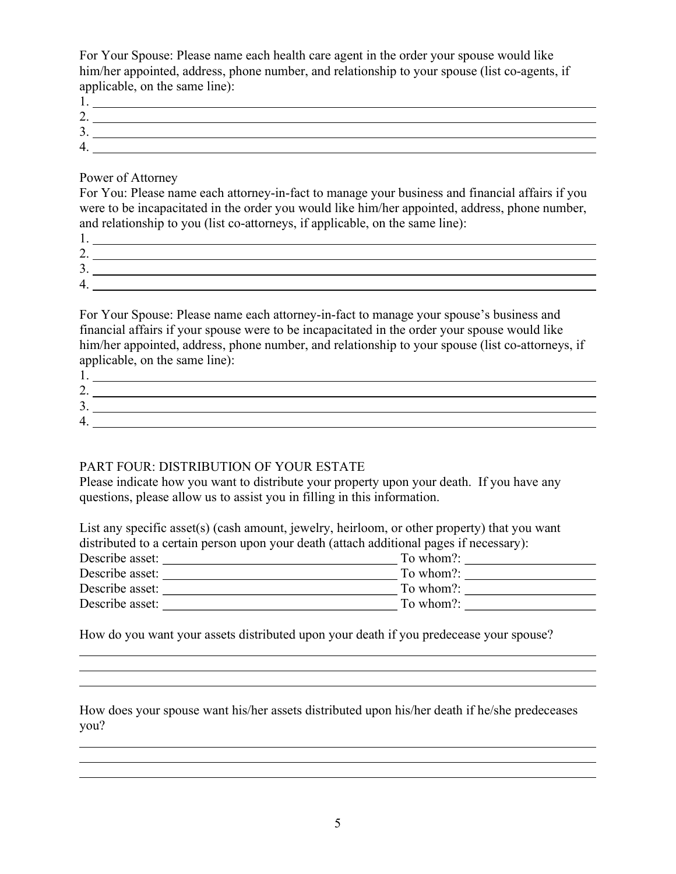For Your Spouse: Please name each health care agent in the order your spouse would like him/her appointed, address, phone number, and relationship to your spouse (list co-agents, if applicable, on the same line):

| <u>.</u> |  |
|----------|--|
| . ب      |  |
|          |  |

Power of Attorney

 $\overline{a}$ 

l

 $\overline{a}$ 

 $\overline{\phantom{a}}$ 

For You: Please name each attorney-in-fact to manage your business and financial affairs if you were to be incapacitated in the order you would like him/her appointed, address, phone number, and relationship to you (list co-attorneys, if applicable, on the same line):

| <u>.</u> |  |
|----------|--|
| ، پ      |  |
|          |  |

For Your Spouse: Please name each attorney-in-fact to manage your spouse's business and financial affairs if your spouse were to be incapacitated in the order your spouse would like him/her appointed, address, phone number, and relationship to your spouse (list co-attorneys, if applicable, on the same line):

| <u>.</u> |  |
|----------|--|
| ຸ        |  |
|          |  |

## PART FOUR: DISTRIBUTION OF YOUR ESTATE

Please indicate how you want to distribute your property upon your death. If you have any questions, please allow us to assist you in filling in this information.

| List any specific asset(s) (cash amount, jewelry, heirloom, or other property) that you want |  |  |
|----------------------------------------------------------------------------------------------|--|--|
| distributed to a certain person upon your death (attach additional pages if necessary):      |  |  |
| To whom?:                                                                                    |  |  |
| To whom?:                                                                                    |  |  |
| To whom?:                                                                                    |  |  |
| To whom?:                                                                                    |  |  |
|                                                                                              |  |  |

How do you want your assets distributed upon your death if you predecease your spouse?

How does your spouse want his/her assets distributed upon his/her death if he/she predeceases you?